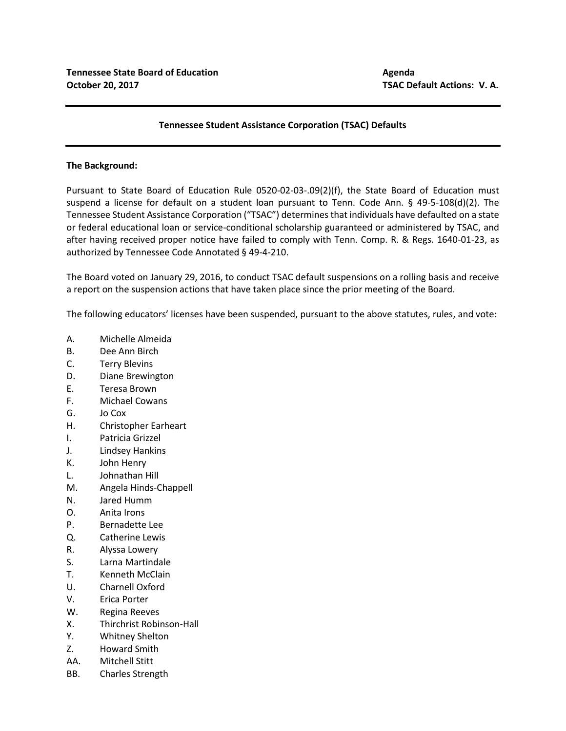## **Tennessee Student Assistance Corporation (TSAC) Defaults**

## **The Background:**

Pursuant to State Board of Education Rule 0520-02-03-.09(2)(f), the State Board of Education must suspend a license for default on a student loan pursuant to Tenn. Code Ann. § 49-5-108(d)(2). The Tennessee Student Assistance Corporation ("TSAC") determines that individuals have defaulted on a state or federal educational loan or service-conditional scholarship guaranteed or administered by TSAC, and after having received proper notice have failed to comply with Tenn. Comp. R. & Regs. 1640-01-23, as authorized by Tennessee Code Annotated § 49-4-210.

The Board voted on January 29, 2016, to conduct TSAC default suspensions on a rolling basis and receive a report on the suspension actions that have taken place since the prior meeting of the Board.

The following educators' licenses have been suspended, pursuant to the above statutes, rules, and vote:

- A. Michelle Almeida
- B. Dee Ann Birch
- C. Terry Blevins
- D. Diane Brewington
- E. Teresa Brown
- F. Michael Cowans
- G. Jo Cox
- H. Christopher Earheart
- I. Patricia Grizzel
- J. Lindsey Hankins
- K. John Henry
- L. Johnathan Hill
- M. Angela Hinds-Chappell
- N. Jared Humm
- O. Anita Irons
- P. Bernadette Lee
- Q. Catherine Lewis
- R. Alyssa Lowery
- S. Larna Martindale
- T. Kenneth McClain
- U. Charnell Oxford
- V. Erica Porter
- W. Regina Reeves
- X. Thirchrist Robinson-Hall
- Y. Whitney Shelton
- Z. Howard Smith
- AA. Mitchell Stitt
- BB. Charles Strength